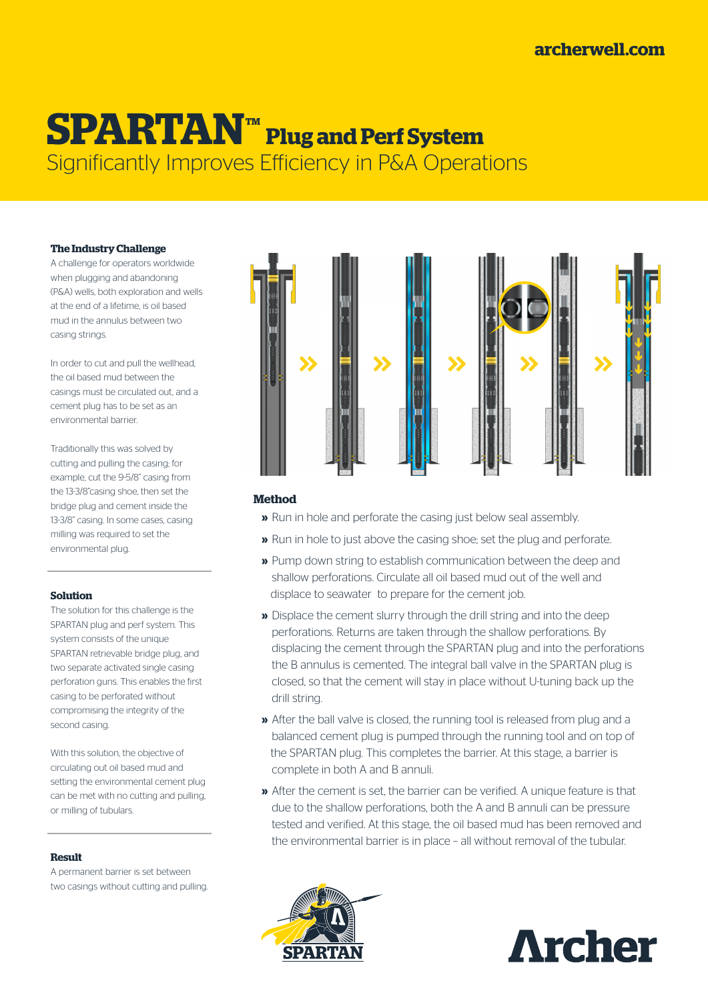### **[archerwell.com](http://www.archerwell.com/)**

## **SPARTANTM Plug and Perf System** Significantly Improves Efficiency in P&A Operations

#### **The Industry Challenge**

A challenge for operators worldwide when plugging and abandoning (P&A) wells, both exploration and wells at the end of a lifetime, is oil based mud in the annulus between two casing strings.

In order to cut and pull the wellhead, the oil based mud between the casings must be circulated out, and a cement plug has to be set as an environmental barrier.

Traditionally this was solved by cutting and pulling the casing; for example, cut the 9-5/8" casing from the 13-3/8"casing shoe, then set the bridge plug and cement inside the 13-3/8" casing. In some cases, casing milling was required to set the environmental plug.

#### **Solution**

The solution for this challenge is the SPARTAN plug and perf system. This system consists of the unique SPARTAN retrievable bridge plug, and two separate activated single casing perforation guns. This enables the first casing to be perforated without compromising the integrity of the second casing.

With this solution, the objective of circulating out oil based mud and setting the environmental cement plug can be met with no cutting and pulling, or milling of tubulars.

#### **Result**

A permanent barrier is set between two casings without cutting and pulling.



#### **Method**

- **»** Run in hole and perforate the casing just below seal assembly.
- **»** Run in hole to just above the casing shoe; set the plug and perforate.
- **»** Pump down string to establish communication between the deep and shallow perforations. Circulate all oil based mud out of the well and displace to seawater to prepare for the cement job.
- **»** Displace the cement slurry through the drill string and into the deep perforations. Returns are taken through the shallow perforations. By displacing the cement through the SPARTAN plug and into the perforations the B annulus is cemented. The integral ball valve in the SPARTAN plug is closed, so that the cement will stay in place without U-tuning back up the drill string.
- **»** After the ball valve is closed, the running tool is released from plug and a balanced cement plug is pumped through the running tool and on top of the SPARTAN plug. This completes the barrier. At this stage, a barrier is complete in both A and B annuli.
- **»** After the cement is set, the barrier can be verified. A unique feature is that due to the shallow perforations, both the A and B annuli can be pressure tested and verified. At this stage, the oil based mud has been removed and the environmental barrier is in place – all without removal of the tubular.